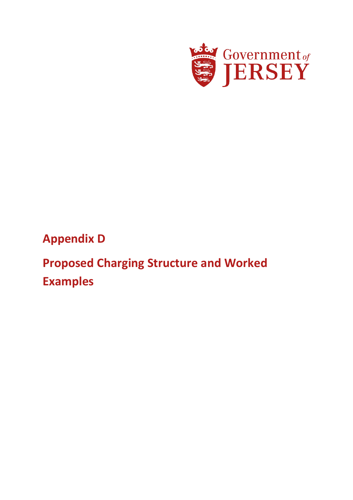

# **Appendix D**

# **Proposed Charging Structure and Worked Examples**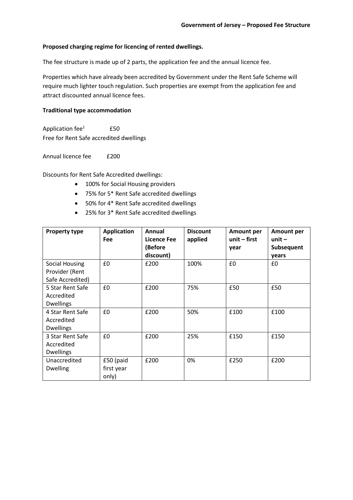#### **Proposed charging regime for licencing of rented dwellings.**

The fee structure is made up of 2 parts, the application fee and the annual licence fee.

Properties which have already been accredited by Government under the Rent Safe Scheme will require much lighter touch regulation. Such properties are exempt from the application fee and attract discounted annual licence fees.

#### **Traditional type accommodation**

Application fee<sup>1</sup> £50 Free for Rent Safe accredited dwellings

Annual licence fee f200

Discounts for Rent Safe Accredited dwellings:

- 100% for Social Housing providers
- 75% for 5\* Rent Safe accredited dwellings
- 50% for 4\* Rent Safe accredited dwellings
- 25% for 3\* Rent Safe accredited dwellings

| <b>Property type</b>                                 | <b>Application</b><br><b>Fee</b> | Annual<br>Licence Fee<br>(Before<br>discount) | <b>Discount</b><br>applied | <b>Amount per</b><br>unit $-$ first<br>year | <b>Amount per</b><br>unit $-$<br>Subsequent<br>years |
|------------------------------------------------------|----------------------------------|-----------------------------------------------|----------------------------|---------------------------------------------|------------------------------------------------------|
| Social Housing<br>Provider (Rent<br>Safe Accredited) | £0                               | £200                                          | 100%                       | £0                                          | £0                                                   |
| 5 Star Rent Safe<br>Accredited<br><b>Dwellings</b>   | £0                               | £200                                          | 75%                        | £50                                         | £50                                                  |
| 4 Star Rent Safe<br>Accredited<br><b>Dwellings</b>   | £0                               | £200                                          | 50%                        | £100                                        | £100                                                 |
| 3 Star Rent Safe<br>Accredited<br><b>Dwellings</b>   | £0                               | £200                                          | 25%                        | £150                                        | £150                                                 |
| Unaccredited<br><b>Dwelling</b>                      | £50 (paid<br>first year<br>only) | £200                                          | 0%                         | £250                                        | £200                                                 |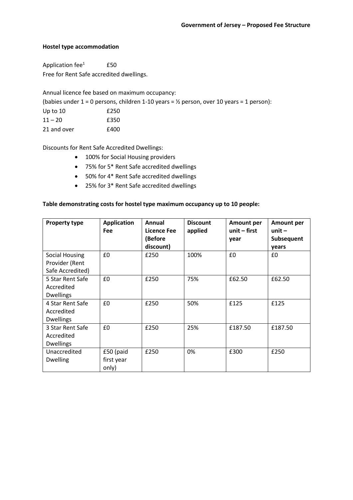#### **Hostel type accommodation**

Application  $fee^1$  £50 Free for Rent Safe accredited dwellings.

Annual licence fee based on maximum occupancy:

(babies under  $1 = 0$  persons, children 1-10 years =  $\frac{1}{2}$  person, over 10 years = 1 person):

| Up to $10$ | £250 |
|------------|------|
| $11 - 20$  | £350 |

21 and over **E400** 

Discounts for Rent Safe Accredited Dwellings:

- 100% for Social Housing providers
- 75% for 5\* Rent Safe accredited dwellings
- 50% for 4\* Rent Safe accredited dwellings
- 25% for 3\* Rent Safe accredited dwellings

# **Table demonstrating costs for hostel type maximum occupancy up to 10 people:**

| <b>Property type</b>                               | <b>Application</b><br><b>Fee</b> | Annual<br>Licence Fee<br>(Before<br>discount) | <b>Discount</b><br>applied | <b>Amount per</b><br>$unit - first$<br>year | <b>Amount per</b><br>unit $-$<br>Subsequent<br>years |
|----------------------------------------------------|----------------------------------|-----------------------------------------------|----------------------------|---------------------------------------------|------------------------------------------------------|
| Social Housing<br>Provider (Rent                   | £0                               | £250                                          | 100%                       | £0                                          | £0                                                   |
| Safe Accredited)                                   |                                  |                                               |                            |                                             |                                                      |
| 5 Star Rent Safe<br>Accredited<br><b>Dwellings</b> | £0                               | £250                                          | 75%                        | £62.50                                      | £62.50                                               |
| 4 Star Rent Safe<br>Accredited<br><b>Dwellings</b> | £0                               | £250                                          | 50%                        | £125                                        | £125                                                 |
| 3 Star Rent Safe<br>Accredited<br><b>Dwellings</b> | £0                               | £250                                          | 25%                        | £187.50                                     | £187.50                                              |
| Unaccredited<br><b>Dwelling</b>                    | £50 (paid<br>first year<br>only) | £250                                          | 0%                         | £300                                        | £250                                                 |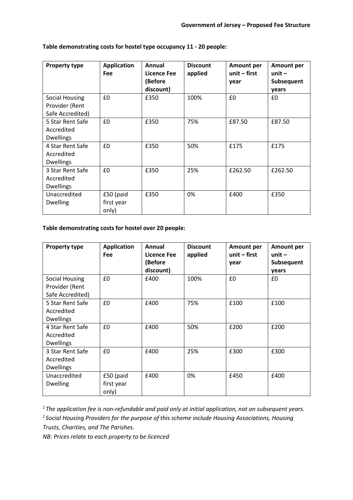| <b>Property type</b>                                        | <b>Application</b><br><b>Fee</b> | Annual<br>Licence Fee<br>(Before<br>discount) | <b>Discount</b><br>applied | <b>Amount per</b><br>unit $-$ first<br>year | <b>Amount per</b><br>unit $-$<br>Subsequent<br>years |
|-------------------------------------------------------------|----------------------------------|-----------------------------------------------|----------------------------|---------------------------------------------|------------------------------------------------------|
| <b>Social Housing</b><br>Provider (Rent<br>Safe Accredited) | £0                               | £350                                          | 100%                       | £0                                          | £0                                                   |
| 5 Star Rent Safe<br>Accredited<br><b>Dwellings</b>          | £0                               | £350                                          | 75%                        | £87.50                                      | £87.50                                               |
| 4 Star Rent Safe<br>Accredited<br><b>Dwellings</b>          | £0                               | £350                                          | 50%                        | £175                                        | £175                                                 |
| 3 Star Rent Safe<br>Accredited<br><b>Dwellings</b>          | £0                               | £350                                          | 25%                        | £262.50                                     | £262.50                                              |
| Unaccredited<br><b>Dwelling</b>                             | £50 (paid<br>first year<br>only) | £350                                          | 0%                         | £400                                        | £350                                                 |

# **Table demonstrating costs for hostel type occupancy 11 - 20 people:**

# **Table demonstrating costs for hostel over 20 people:**

| <b>Property type</b>                                 | <b>Application</b><br>Fee        | Annual<br>Licence Fee<br>(Before<br>discount) | <b>Discount</b><br>applied | <b>Amount per</b><br>unit $-$ first<br>year | <b>Amount per</b><br>unit $-$<br>Subsequent<br>years |
|------------------------------------------------------|----------------------------------|-----------------------------------------------|----------------------------|---------------------------------------------|------------------------------------------------------|
| Social Housing<br>Provider (Rent<br>Safe Accredited) | £0                               | £400                                          | 100%                       | £0                                          | £0                                                   |
| 5 Star Rent Safe<br>Accredited<br><b>Dwellings</b>   | £0                               | £400                                          | 75%                        | £100                                        | £100                                                 |
| 4 Star Rent Safe<br>Accredited<br><b>Dwellings</b>   | £0                               | £400                                          | 50%                        | £200                                        | £200                                                 |
| 3 Star Rent Safe<br>Accredited<br><b>Dwellings</b>   | £0                               | £400                                          | 25%                        | £300                                        | £300                                                 |
| Unaccredited<br><b>Dwelling</b>                      | £50 (paid<br>first year<br>only) | £400                                          | 0%                         | £450                                        | £400                                                 |

*<sup>1</sup>The application fee is non-refundable and paid only at initial application, not on subsequent years. <sup>2</sup>Social Housing Providers for the purpose of this scheme include Housing Associations, Housing Trusts, Charities, and The Parishes.*

*NB: Prices relate to each property to be licenced*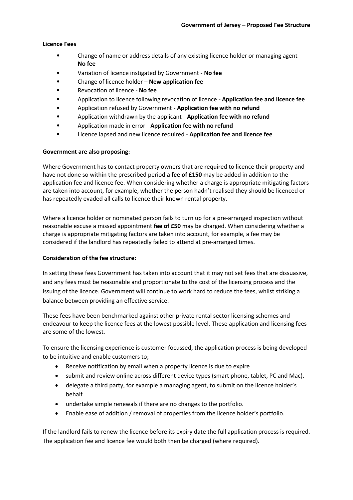#### **Licence Fees**

- Change of name or address details of any existing licence holder or managing agent **No fee**
- Variation of licence instigated by Government **No fee**
- Change of licence holder **New application fee**
- Revocation of licence **No fee**
- Application to licence following revocation of licence **Application fee and licence fee**
- Application refused by Government **Application fee with no refund**
- Application withdrawn by the applicant **Application fee with no refund**
- Application made in error **Application fee with no refund**
- Licence lapsed and new licence required **Application fee and licence fee**

#### **Government are also proposing:**

Where Government has to contact property owners that are required to licence their property and have not done so within the prescribed period **a fee of £150** may be added in addition to the application fee and licence fee. When considering whether a charge is appropriate mitigating factors are taken into account, for example, whether the person hadn't realised they should be licenced or has repeatedly evaded all calls to licence their known rental property.

Where a licence holder or nominated person fails to turn up for a pre-arranged inspection without reasonable excuse a missed appointment **fee of £50** may be charged. When considering whether a charge is appropriate mitigating factors are taken into account, for example, a fee may be considered if the landlord has repeatedly failed to attend at pre-arranged times.

#### **Consideration of the fee structure:**

In setting these fees Government has taken into account that it may not set fees that are dissuasive, and any fees must be reasonable and proportionate to the cost of the licensing process and the issuing of the licence. Government will continue to work hard to reduce the fees, whilst striking a balance between providing an effective service.

These fees have been benchmarked against other private rental sector licensing schemes and endeavour to keep the licence fees at the lowest possible level. These application and licensing fees are some of the lowest.

To ensure the licensing experience is customer focussed, the application process is being developed to be intuitive and enable customers to;

- Receive notification by email when a property licence is due to expire
- submit and review online across different device types (smart phone, tablet, PC and Mac).
- delegate a third party, for example a managing agent, to submit on the licence holder's behalf
- undertake simple renewals if there are no changes to the portfolio.
- Enable ease of addition / removal of properties from the licence holder's portfolio.

If the landlord fails to renew the licence before its expiry date the full application process is required. The application fee and licence fee would both then be charged (where required).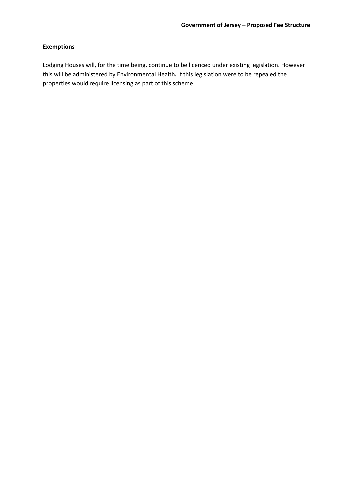# **Exemptions**

Lodging Houses will, for the time being, continue to be licenced under existing legislation. However this will be administered by Environmental Health**.** If this legislation were to be repealed the properties would require licensing as part of this scheme.